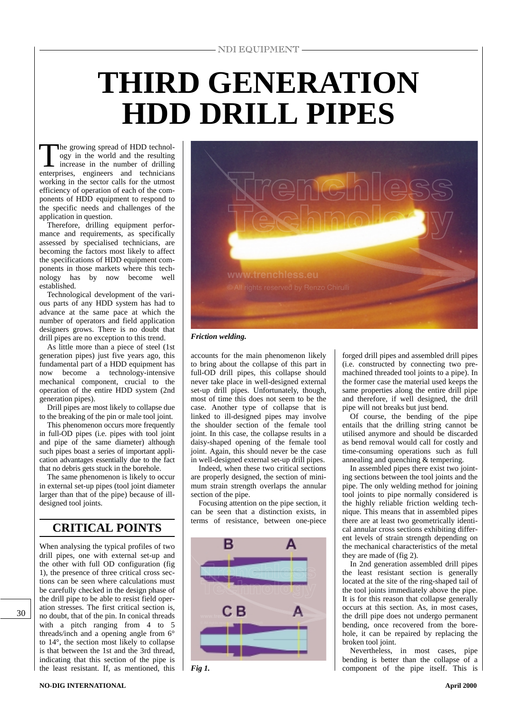# **THIRD GENERATION HDD DRILL PIPES**

The growing spread of HDD technol-<br>ogy in the world and the resulting<br>increase in the number of drilling<br>enterprises engineers and technicians ogy in the world and the resulting increase in the number of drilling enterprises, engineers and technicians working in the sector calls for the utmost efficiency of operation of each of the components of HDD equipment to respond to the specific needs and challenges of the application in question.

Therefore, drilling equipment performance and requirements, as specifically assessed by specialised technicians, are becoming the factors most likely to affect the specifications of HDD equipment components in those markets where this technology has by now become well established.

Technological development of the various parts of any HDD system has had to advance at the same pace at which the number of operators and field application designers grows. There is no doubt that drill pipes are no exception to this trend.

As little more than a piece of steel (1st generation pipes) just five years ago, this fundamental part of a HDD equipment has now become a technology-intensive mechanical component, crucial to the operation of the entire HDD system (2nd generation pipes).

Drill pipes are most likely to collapse due to the breaking of the pin or male tool joint.

This phenomenon occurs more frequently in full-OD pipes (i.e. pipes with tool joint and pipe of the same diameter) although such pipes boast a series of important application advantages essentially due to the fact that no debris gets stuck in the borehole.

The same phenomenon is likely to occur in external set-up pipes (tool joint diameter larger than that of the pipe) because of illdesigned tool joints.

## **CRITICAL POINTS**

When analysing the typical profiles of two drill pipes, one with external set-up and the other with full OD configuration (fig 1), the presence of three critical cross sections can be seen where calculations must be carefully checked in the design phase of the drill pipe to be able to resist field operation stresses. The first critical section is, no doubt, that of the pin. In conical threads with a pitch ranging from 4 to 5 threads/inch and a opening angle from 6° to 14°, the section most likely to collapse is that between the 1st and the 3rd thread, indicating that this section of the pipe is the least resistant. If, as mentioned, this



#### *Friction welding.*

accounts for the main phenomenon likely to bring about the collapse of this part in full-OD drill pipes, this collapse should never take place in well-designed external set-up drill pipes. Unfortunately, though, most of time this does not seem to be the case. Another type of collapse that is linked to ill-designed pipes may involve the shoulder section of the female tool joint. In this case, the collapse results in a daisy-shaped opening of the female tool joint. Again, this should never be the case in well-designed external set-up drill pipes.

Indeed, when these two critical sections are properly designed, the section of minimum strain strength overlaps the annular section of the pipe.

Focusing attention on the pipe section, it can be seen that a distinction exists, in terms of resistance, between one-piece



*Fig 1.*

forged drill pipes and assembled drill pipes (i.e. constructed by connecting two premachined threaded tool joints to a pipe). In the former case the material used keeps the same properties along the entire drill pipe and therefore, if well designed, the drill pipe will not breaks but just bend.

Of course, the bending of the pipe entails that the drilling string cannot be utilised anymore and should be discarded as bend removal would call for costly and time-consuming operations such as full annealing and quenching & tempering.

In assembled pipes there exist two jointing sections between the tool joints and the pipe. The only welding method for joining tool joints to pipe normally considered is the highly reliable friction welding technique. This means that in assembled pipes there are at least two geometrically identical annular cross sections exhibiting different levels of strain strength depending on the mechanical characteristics of the metal they are made of (fig 2).

In 2nd generation assembled drill pipes the least resistant section is generally located at the site of the ring-shaped tail of the tool joints immediately above the pipe. It is for this reason that collapse generally occurs at this section. As, in most cases, the drill pipe does not undergo permanent bending, once recovered from the borehole, it can be repaired by replacing the broken tool joint.

Nevertheless, in most cases, pipe bending is better than the collapse of a component of the pipe itself. This is

30